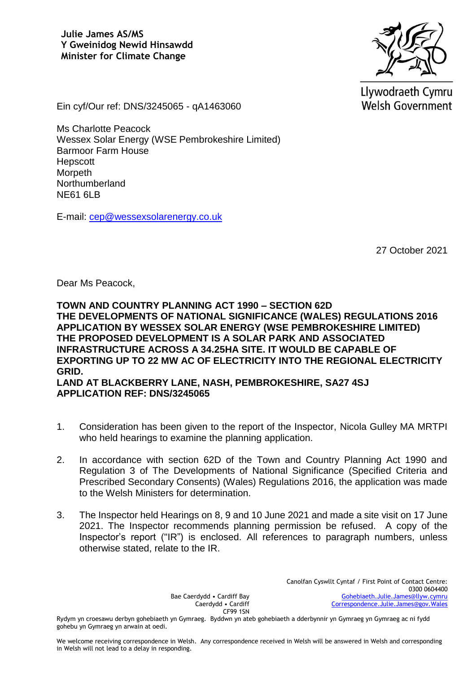

Llywodraeth Cymru **Welsh Government** 

Ein cyf/Our ref: DNS/3245065 - qA1463060

Ms Charlotte Peacock Wessex Solar Energy (WSE Pembrokeshire Limited) Barmoor Farm House Hepscott **Morpeth** Northumberland NE61 6LB

E-mail: [cep@wessexsolarenergy.co.uk](mailto:cep@wessexsolarenergy.co.uk)

27 October 2021

Dear Ms Peacock,

**TOWN AND COUNTRY PLANNING ACT 1990 – SECTION 62D THE DEVELOPMENTS OF NATIONAL SIGNIFICANCE (WALES) REGULATIONS 2016 APPLICATION BY WESSEX SOLAR ENERGY (WSE PEMBROKESHIRE LIMITED) THE PROPOSED DEVELOPMENT IS A SOLAR PARK AND ASSOCIATED INFRASTRUCTURE ACROSS A 34.25HA SITE. IT WOULD BE CAPABLE OF EXPORTING UP TO 22 MW AC OF ELECTRICITY INTO THE REGIONAL ELECTRICITY GRID. LAND AT BLACKBERRY LANE, NASH, PEMBROKESHIRE, SA27 4SJ**

**APPLICATION REF: DNS/3245065**

- 1. Consideration has been given to the report of the Inspector, Nicola Gulley MA MRTPI who held hearings to examine the planning application.
- 2. In accordance with section 62D of the Town and Country Planning Act 1990 and Regulation 3 of The Developments of National Significance (Specified Criteria and Prescribed Secondary Consents) (Wales) Regulations 2016, the application was made to the Welsh Ministers for determination.
- 3. The Inspector held Hearings on 8, 9 and 10 June 2021 and made a site visit on 17 June 2021. The Inspector recommends planning permission be refused. A copy of the Inspector's report ("IR") is enclosed. All references to paragraph numbers, unless otherwise stated, relate to the IR.

Bae Caerdydd • Cardiff Bay Caerdydd • Cardiff CF99 1SN

Rydym yn croesawu derbyn gohebiaeth yn Gymraeg. Byddwn yn ateb gohebiaeth a dderbynnir yn Gymraeg yn Gymraeg ac ni fydd gohebu yn Gymraeg yn arwain at oedi.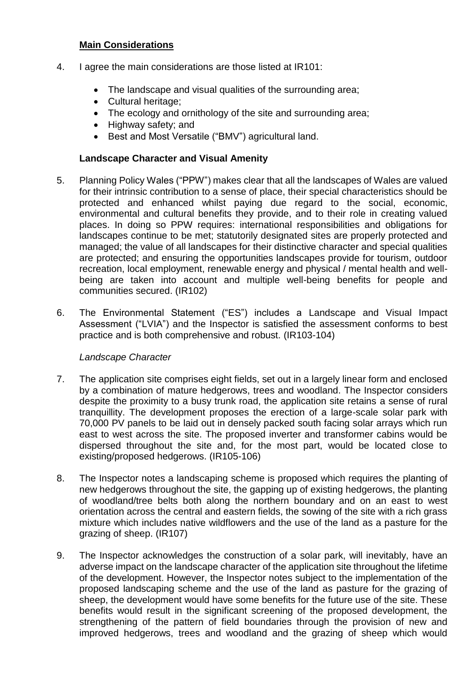#### **Main Considerations**

- 4. I agree the main considerations are those listed at IR101:
	- The landscape and visual qualities of the surrounding area;
	- Cultural heritage:
	- The ecology and ornithology of the site and surrounding area;
	- Highway safety; and
	- Best and Most Versatile ("BMV") agricultural land.

# **Landscape Character and Visual Amenity**

- 5. Planning Policy Wales ("PPW") makes clear that all the landscapes of Wales are valued for their intrinsic contribution to a sense of place, their special characteristics should be protected and enhanced whilst paying due regard to the social, economic, environmental and cultural benefits they provide, and to their role in creating valued places. In doing so PPW requires: international responsibilities and obligations for landscapes continue to be met; statutorily designated sites are properly protected and managed; the value of all landscapes for their distinctive character and special qualities are protected; and ensuring the opportunities landscapes provide for tourism, outdoor recreation, local employment, renewable energy and physical / mental health and wellbeing are taken into account and multiple well-being benefits for people and communities secured. (IR102)
- 6. The Environmental Statement ("ES") includes a Landscape and Visual Impact Assessment ("LVIA") and the Inspector is satisfied the assessment conforms to best practice and is both comprehensive and robust. (IR103-104)

# *Landscape Character*

- 7. The application site comprises eight fields, set out in a largely linear form and enclosed by a combination of mature hedgerows, trees and woodland. The Inspector considers despite the proximity to a busy trunk road, the application site retains a sense of rural tranquillity. The development proposes the erection of a large-scale solar park with 70,000 PV panels to be laid out in densely packed south facing solar arrays which run east to west across the site. The proposed inverter and transformer cabins would be dispersed throughout the site and, for the most part, would be located close to existing/proposed hedgerows. (IR105-106)
- 8. The Inspector notes a landscaping scheme is proposed which requires the planting of new hedgerows throughout the site, the gapping up of existing hedgerows, the planting of woodland/tree belts both along the northern boundary and on an east to west orientation across the central and eastern fields, the sowing of the site with a rich grass mixture which includes native wildflowers and the use of the land as a pasture for the grazing of sheep. (IR107)
- 9. The Inspector acknowledges the construction of a solar park, will inevitably, have an adverse impact on the landscape character of the application site throughout the lifetime of the development. However, the Inspector notes subject to the implementation of the proposed landscaping scheme and the use of the land as pasture for the grazing of sheep, the development would have some benefits for the future use of the site. These benefits would result in the significant screening of the proposed development, the strengthening of the pattern of field boundaries through the provision of new and improved hedgerows, trees and woodland and the grazing of sheep which would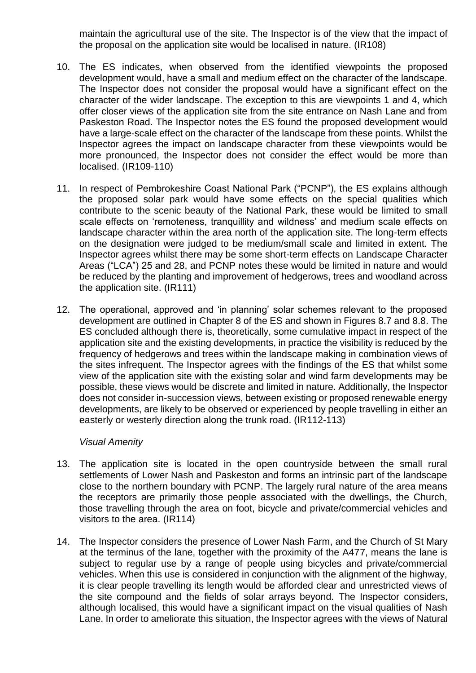maintain the agricultural use of the site. The Inspector is of the view that the impact of the proposal on the application site would be localised in nature. (IR108)

- 10. The ES indicates, when observed from the identified viewpoints the proposed development would, have a small and medium effect on the character of the landscape. The Inspector does not consider the proposal would have a significant effect on the character of the wider landscape. The exception to this are viewpoints 1 and 4, which offer closer views of the application site from the site entrance on Nash Lane and from Paskeston Road. The Inspector notes the ES found the proposed development would have a large-scale effect on the character of the landscape from these points. Whilst the Inspector agrees the impact on landscape character from these viewpoints would be more pronounced, the Inspector does not consider the effect would be more than localised. (IR109-110)
- 11. In respect of Pembrokeshire Coast National Park ("PCNP"), the ES explains although the proposed solar park would have some effects on the special qualities which contribute to the scenic beauty of the National Park, these would be limited to small scale effects on 'remoteness, tranquillity and wildness' and medium scale effects on landscape character within the area north of the application site. The long-term effects on the designation were judged to be medium/small scale and limited in extent. The Inspector agrees whilst there may be some short-term effects on Landscape Character Areas ("LCA") 25 and 28, and PCNP notes these would be limited in nature and would be reduced by the planting and improvement of hedgerows, trees and woodland across the application site. (IR111)
- 12. The operational, approved and 'in planning' solar schemes relevant to the proposed development are outlined in Chapter 8 of the ES and shown in Figures 8.7 and 8.8. The ES concluded although there is, theoretically, some cumulative impact in respect of the application site and the existing developments, in practice the visibility is reduced by the frequency of hedgerows and trees within the landscape making in combination views of the sites infrequent. The Inspector agrees with the findings of the ES that whilst some view of the application site with the existing solar and wind farm developments may be possible, these views would be discrete and limited in nature. Additionally, the Inspector does not consider in-succession views, between existing or proposed renewable energy developments, are likely to be observed or experienced by people travelling in either an easterly or westerly direction along the trunk road. (IR112-113)

#### *Visual Amenity*

- 13. The application site is located in the open countryside between the small rural settlements of Lower Nash and Paskeston and forms an intrinsic part of the landscape close to the northern boundary with PCNP. The largely rural nature of the area means the receptors are primarily those people associated with the dwellings, the Church, those travelling through the area on foot, bicycle and private/commercial vehicles and visitors to the area. (IR114)
- 14. The Inspector considers the presence of Lower Nash Farm, and the Church of St Mary at the terminus of the lane, together with the proximity of the A477, means the lane is subject to regular use by a range of people using bicycles and private/commercial vehicles. When this use is considered in conjunction with the alignment of the highway, it is clear people travelling its length would be afforded clear and unrestricted views of the site compound and the fields of solar arrays beyond. The Inspector considers, although localised, this would have a significant impact on the visual qualities of Nash Lane. In order to ameliorate this situation, the Inspector agrees with the views of Natural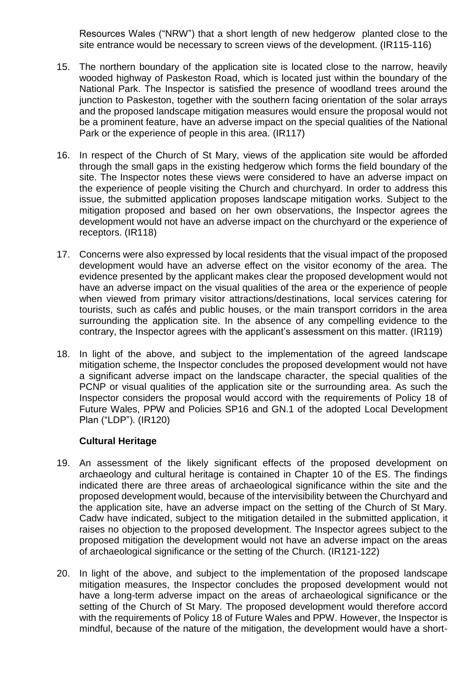Resources Wales ("NRW") that a short length of new hedgerow planted close to the site entrance would be necessary to screen views of the development. (IR115-116)

- 15. The northern boundary of the application site is located close to the narrow, heavily wooded highway of Paskeston Road, which is located just within the boundary of the National Park. The Inspector is satisfied the presence of woodland trees around the junction to Paskeston, together with the southern facing orientation of the solar arrays and the proposed landscape mitigation measures would ensure the proposal would not be a prominent feature, have an adverse impact on the special qualities of the National Park or the experience of people in this area. (IR117)
- 16. In respect of the Church of St Mary, views of the application site would be afforded through the small gaps in the existing hedgerow which forms the field boundary of the site. The Inspector notes these views were considered to have an adverse impact on the experience of people visiting the Church and churchyard. In order to address this issue, the submitted application proposes landscape mitigation works. Subject to the mitigation proposed and based on her own observations, the Inspector agrees the development would not have an adverse impact on the churchyard or the experience of receptors. (IR118)
- 17. Concerns were also expressed by local residents that the visual impact of the proposed development would have an adverse effect on the visitor economy of the area. The evidence presented by the applicant makes clear the proposed development would not have an adverse impact on the visual qualities of the area or the experience of people when viewed from primary visitor attractions/destinations, local services catering for tourists, such as cafés and public houses, or the main transport corridors in the area surrounding the application site. In the absence of any compelling evidence to the contrary, the Inspector agrees with the applicant's assessment on this matter. (IR119)
- 18. In light of the above, and subject to the implementation of the agreed landscape mitigation scheme, the Inspector concludes the proposed development would not have a significant adverse impact on the landscape character, the special qualities of the PCNP or visual qualities of the application site or the surrounding area. As such the Inspector considers the proposal would accord with the requirements of Policy 18 of Future Wales, PPW and Policies SP16 and GN.1 of the adopted Local Development Plan ("LDP"). (IR120)

# **Cultural Heritage**

- 19. An assessment of the likely significant effects of the proposed development on archaeology and cultural heritage is contained in Chapter 10 of the ES. The findings indicated there are three areas of archaeological significance within the site and the proposed development would, because of the intervisibility between the Churchyard and the application site, have an adverse impact on the setting of the Church of St Mary. Cadw have indicated, subject to the mitigation detailed in the submitted application, it raises no objection to the proposed development. The Inspector agrees subject to the proposed mitigation the development would not have an adverse impact on the areas of archaeological significance or the setting of the Church. (IR121-122)
- 20. In light of the above, and subject to the implementation of the proposed landscape mitigation measures, the Inspector concludes the proposed development would not have a long-term adverse impact on the areas of archaeological significance or the setting of the Church of St Mary. The proposed development would therefore accord with the requirements of Policy 18 of Future Wales and PPW. However, the Inspector is mindful, because of the nature of the mitigation, the development would have a short-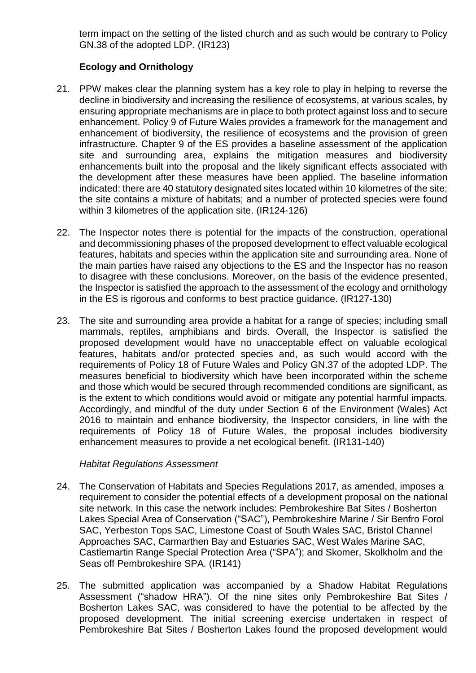term impact on the setting of the listed church and as such would be contrary to Policy GN.38 of the adopted LDP. (IR123)

# **Ecology and Ornithology**

- 21. PPW makes clear the planning system has a key role to play in helping to reverse the decline in biodiversity and increasing the resilience of ecosystems, at various scales, by ensuring appropriate mechanisms are in place to both protect against loss and to secure enhancement. Policy 9 of Future Wales provides a framework for the management and enhancement of biodiversity, the resilience of ecosystems and the provision of green infrastructure. Chapter 9 of the ES provides a baseline assessment of the application site and surrounding area, explains the mitigation measures and biodiversity enhancements built into the proposal and the likely significant effects associated with the development after these measures have been applied. The baseline information indicated: there are 40 statutory designated sites located within 10 kilometres of the site; the site contains a mixture of habitats; and a number of protected species were found within 3 kilometres of the application site. (IR124-126)
- 22. The Inspector notes there is potential for the impacts of the construction, operational and decommissioning phases of the proposed development to effect valuable ecological features, habitats and species within the application site and surrounding area. None of the main parties have raised any objections to the ES and the Inspector has no reason to disagree with these conclusions. Moreover, on the basis of the evidence presented, the Inspector is satisfied the approach to the assessment of the ecology and ornithology in the ES is rigorous and conforms to best practice guidance. (IR127-130)
- 23. The site and surrounding area provide a habitat for a range of species; including small mammals, reptiles, amphibians and birds. Overall, the Inspector is satisfied the proposed development would have no unacceptable effect on valuable ecological features, habitats and/or protected species and, as such would accord with the requirements of Policy 18 of Future Wales and Policy GN.37 of the adopted LDP. The measures beneficial to biodiversity which have been incorporated within the scheme and those which would be secured through recommended conditions are significant, as is the extent to which conditions would avoid or mitigate any potential harmful impacts. Accordingly, and mindful of the duty under Section 6 of the Environment (Wales) Act 2016 to maintain and enhance biodiversity, the Inspector considers, in line with the requirements of Policy 18 of Future Wales, the proposal includes biodiversity enhancement measures to provide a net ecological benefit. (IR131-140)

#### *Habitat Regulations Assessment*

- 24. The Conservation of Habitats and Species Regulations 2017, as amended, imposes a requirement to consider the potential effects of a development proposal on the national site network. In this case the network includes: Pembrokeshire Bat Sites / Bosherton Lakes Special Area of Conservation ("SAC"), Pembrokeshire Marine / Sir Benfro Forol SAC, Yerbeston Tops SAC, Limestone Coast of South Wales SAC, Bristol Channel Approaches SAC, Carmarthen Bay and Estuaries SAC, West Wales Marine SAC, Castlemartin Range Special Protection Area ("SPA"); and Skomer, Skolkholm and the Seas off Pembrokeshire SPA. (IR141)
- 25. The submitted application was accompanied by a Shadow Habitat Regulations Assessment ("shadow HRA"). Of the nine sites only Pembrokeshire Bat Sites / Bosherton Lakes SAC, was considered to have the potential to be affected by the proposed development. The initial screening exercise undertaken in respect of Pembrokeshire Bat Sites / Bosherton Lakes found the proposed development would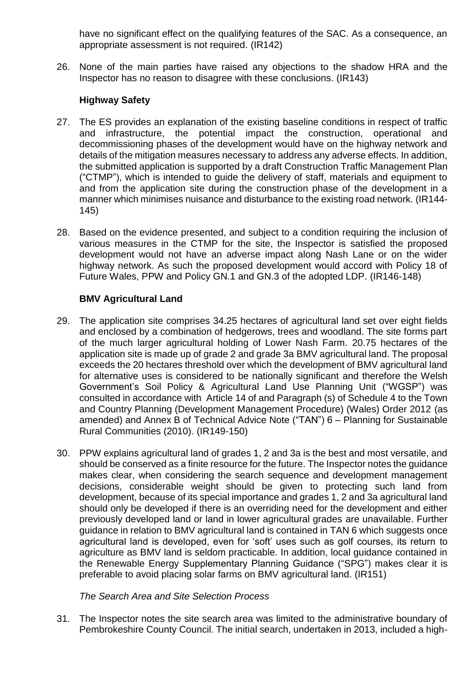have no significant effect on the qualifying features of the SAC. As a consequence, an appropriate assessment is not required. (IR142)

26. None of the main parties have raised any objections to the shadow HRA and the Inspector has no reason to disagree with these conclusions. (IR143)

# **Highway Safety**

- 27. The ES provides an explanation of the existing baseline conditions in respect of traffic and infrastructure, the potential impact the construction, operational and decommissioning phases of the development would have on the highway network and details of the mitigation measures necessary to address any adverse effects. In addition, the submitted application is supported by a draft Construction Traffic Management Plan ("CTMP"), which is intended to guide the delivery of staff, materials and equipment to and from the application site during the construction phase of the development in a manner which minimises nuisance and disturbance to the existing road network. (IR144- 145)
- 28. Based on the evidence presented, and subject to a condition requiring the inclusion of various measures in the CTMP for the site, the Inspector is satisfied the proposed development would not have an adverse impact along Nash Lane or on the wider highway network. As such the proposed development would accord with Policy 18 of Future Wales, PPW and Policy GN.1 and GN.3 of the adopted LDP. (IR146-148)

# **BMV Agricultural Land**

- 29. The application site comprises 34.25 hectares of agricultural land set over eight fields and enclosed by a combination of hedgerows, trees and woodland. The site forms part of the much larger agricultural holding of Lower Nash Farm. 20.75 hectares of the application site is made up of grade 2 and grade 3a BMV agricultural land. The proposal exceeds the 20 hectares threshold over which the development of BMV agricultural land for alternative uses is considered to be nationally significant and therefore the Welsh Government's Soil Policy & Agricultural Land Use Planning Unit ("WGSP") was consulted in accordance with Article 14 of and Paragraph (s) of Schedule 4 to the Town and Country Planning (Development Management Procedure) (Wales) Order 2012 (as amended) and Annex B of Technical Advice Note ("TAN") 6 – Planning for Sustainable Rural Communities (2010). (IR149-150)
- 30. PPW explains agricultural land of grades 1, 2 and 3a is the best and most versatile, and should be conserved as a finite resource for the future. The Inspector notes the guidance makes clear, when considering the search sequence and development management decisions, considerable weight should be given to protecting such land from development, because of its special importance and grades 1, 2 and 3a agricultural land should only be developed if there is an overriding need for the development and either previously developed land or land in lower agricultural grades are unavailable. Further guidance in relation to BMV agricultural land is contained in TAN 6 which suggests once agricultural land is developed, even for 'soft' uses such as golf courses, its return to agriculture as BMV land is seldom practicable. In addition, local guidance contained in the Renewable Energy Supplementary Planning Guidance ("SPG") makes clear it is preferable to avoid placing solar farms on BMV agricultural land. (IR151)

# *The Search Area and Site Selection Process*

31. The Inspector notes the site search area was limited to the administrative boundary of Pembrokeshire County Council. The initial search, undertaken in 2013, included a high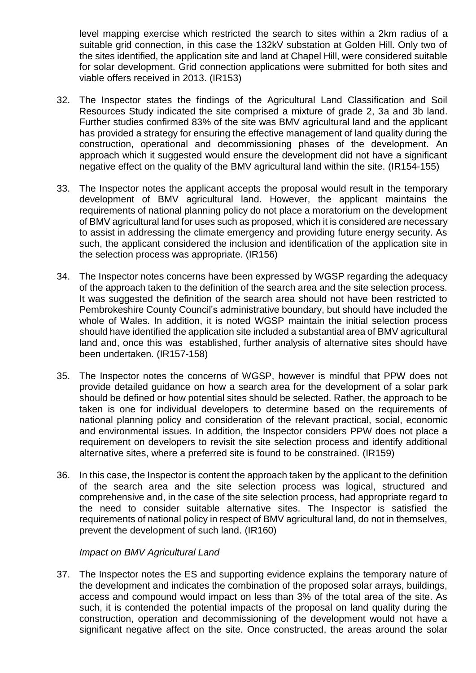level mapping exercise which restricted the search to sites within a 2km radius of a suitable grid connection, in this case the 132kV substation at Golden Hill. Only two of the sites identified, the application site and land at Chapel Hill, were considered suitable for solar development. Grid connection applications were submitted for both sites and viable offers received in 2013. (IR153)

- 32. The Inspector states the findings of the Agricultural Land Classification and Soil Resources Study indicated the site comprised a mixture of grade 2, 3a and 3b land. Further studies confirmed 83% of the site was BMV agricultural land and the applicant has provided a strategy for ensuring the effective management of land quality during the construction, operational and decommissioning phases of the development. An approach which it suggested would ensure the development did not have a significant negative effect on the quality of the BMV agricultural land within the site. (IR154-155)
- 33. The Inspector notes the applicant accepts the proposal would result in the temporary development of BMV agricultural land. However, the applicant maintains the requirements of national planning policy do not place a moratorium on the development of BMV agricultural land for uses such as proposed, which it is considered are necessary to assist in addressing the climate emergency and providing future energy security. As such, the applicant considered the inclusion and identification of the application site in the selection process was appropriate. (IR156)
- 34. The Inspector notes concerns have been expressed by WGSP regarding the adequacy of the approach taken to the definition of the search area and the site selection process. It was suggested the definition of the search area should not have been restricted to Pembrokeshire County Council's administrative boundary, but should have included the whole of Wales. In addition, it is noted WGSP maintain the initial selection process should have identified the application site included a substantial area of BMV agricultural land and, once this was established, further analysis of alternative sites should have been undertaken. (IR157-158)
- 35. The Inspector notes the concerns of WGSP, however is mindful that PPW does not provide detailed guidance on how a search area for the development of a solar park should be defined or how potential sites should be selected. Rather, the approach to be taken is one for individual developers to determine based on the requirements of national planning policy and consideration of the relevant practical, social, economic and environmental issues. In addition, the Inspector considers PPW does not place a requirement on developers to revisit the site selection process and identify additional alternative sites, where a preferred site is found to be constrained. (IR159)
- 36. In this case, the Inspector is content the approach taken by the applicant to the definition of the search area and the site selection process was logical, structured and comprehensive and, in the case of the site selection process, had appropriate regard to the need to consider suitable alternative sites. The Inspector is satisfied the requirements of national policy in respect of BMV agricultural land, do not in themselves, prevent the development of such land. (IR160)

#### *Impact on BMV Agricultural Land*

37. The Inspector notes the ES and supporting evidence explains the temporary nature of the development and indicates the combination of the proposed solar arrays, buildings, access and compound would impact on less than 3% of the total area of the site. As such, it is contended the potential impacts of the proposal on land quality during the construction, operation and decommissioning of the development would not have a significant negative affect on the site. Once constructed, the areas around the solar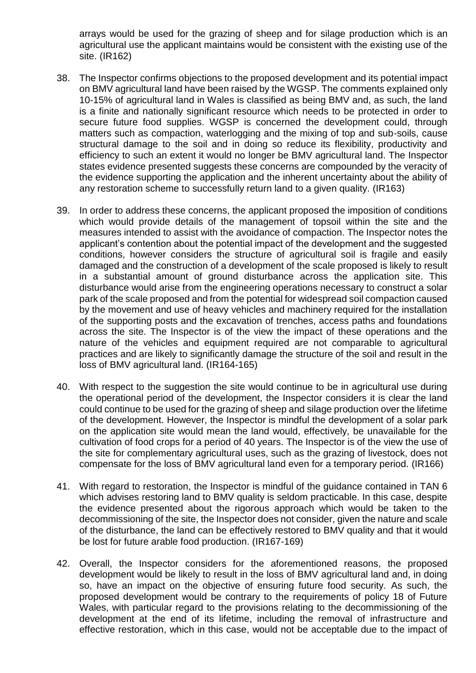arrays would be used for the grazing of sheep and for silage production which is an agricultural use the applicant maintains would be consistent with the existing use of the site. (IR162)

- 38. The Inspector confirms objections to the proposed development and its potential impact on BMV agricultural land have been raised by the WGSP. The comments explained only 10-15% of agricultural land in Wales is classified as being BMV and, as such, the land is a finite and nationally significant resource which needs to be protected in order to secure future food supplies. WGSP is concerned the development could, through matters such as compaction, waterlogging and the mixing of top and sub-soils, cause structural damage to the soil and in doing so reduce its flexibility, productivity and efficiency to such an extent it would no longer be BMV agricultural land. The Inspector states evidence presented suggests these concerns are compounded by the veracity of the evidence supporting the application and the inherent uncertainty about the ability of any restoration scheme to successfully return land to a given quality. (IR163)
- 39. In order to address these concerns, the applicant proposed the imposition of conditions which would provide details of the management of topsoil within the site and the measures intended to assist with the avoidance of compaction. The Inspector notes the applicant's contention about the potential impact of the development and the suggested conditions, however considers the structure of agricultural soil is fragile and easily damaged and the construction of a development of the scale proposed is likely to result in a substantial amount of ground disturbance across the application site. This disturbance would arise from the engineering operations necessary to construct a solar park of the scale proposed and from the potential for widespread soil compaction caused by the movement and use of heavy vehicles and machinery required for the installation of the supporting posts and the excavation of trenches, access paths and foundations across the site. The Inspector is of the view the impact of these operations and the nature of the vehicles and equipment required are not comparable to agricultural practices and are likely to significantly damage the structure of the soil and result in the loss of BMV agricultural land. (IR164-165)
- 40. With respect to the suggestion the site would continue to be in agricultural use during the operational period of the development, the Inspector considers it is clear the land could continue to be used for the grazing of sheep and silage production over the lifetime of the development. However, the Inspector is mindful the development of a solar park on the application site would mean the land would, effectively, be unavailable for the cultivation of food crops for a period of 40 years. The Inspector is of the view the use of the site for complementary agricultural uses, such as the grazing of livestock, does not compensate for the loss of BMV agricultural land even for a temporary period. (IR166)
- 41. With regard to restoration, the Inspector is mindful of the guidance contained in TAN 6 which advises restoring land to BMV quality is seldom practicable. In this case, despite the evidence presented about the rigorous approach which would be taken to the decommissioning of the site, the Inspector does not consider, given the nature and scale of the disturbance, the land can be effectively restored to BMV quality and that it would be lost for future arable food production. (IR167-169)
- 42. Overall, the Inspector considers for the aforementioned reasons, the proposed development would be likely to result in the loss of BMV agricultural land and, in doing so, have an impact on the objective of ensuring future food security. As such, the proposed development would be contrary to the requirements of policy 18 of Future Wales, with particular regard to the provisions relating to the decommissioning of the development at the end of its lifetime, including the removal of infrastructure and effective restoration, which in this case, would not be acceptable due to the impact of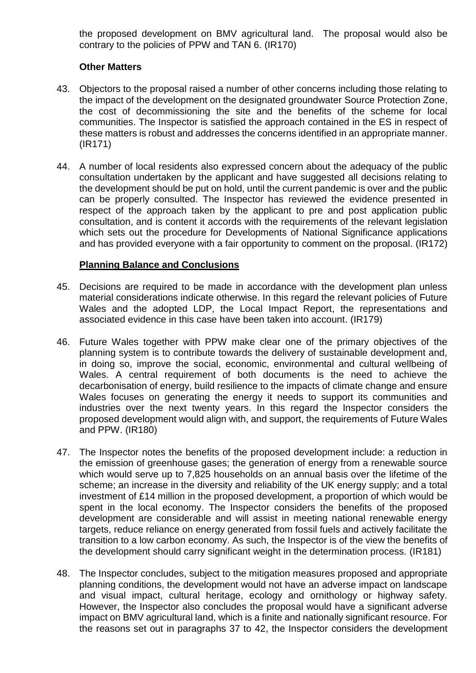the proposed development on BMV agricultural land. The proposal would also be contrary to the policies of PPW and TAN 6. (IR170)

### **Other Matters**

- 43. Objectors to the proposal raised a number of other concerns including those relating to the impact of the development on the designated groundwater Source Protection Zone, the cost of decommissioning the site and the benefits of the scheme for local communities. The Inspector is satisfied the approach contained in the ES in respect of these matters is robust and addresses the concerns identified in an appropriate manner. (IR171)
- 44. A number of local residents also expressed concern about the adequacy of the public consultation undertaken by the applicant and have suggested all decisions relating to the development should be put on hold, until the current pandemic is over and the public can be properly consulted. The Inspector has reviewed the evidence presented in respect of the approach taken by the applicant to pre and post application public consultation, and is content it accords with the requirements of the relevant legislation which sets out the procedure for Developments of National Significance applications and has provided everyone with a fair opportunity to comment on the proposal. (IR172)

### **Planning Balance and Conclusions**

- 45. Decisions are required to be made in accordance with the development plan unless material considerations indicate otherwise. In this regard the relevant policies of Future Wales and the adopted LDP, the Local Impact Report, the representations and associated evidence in this case have been taken into account. (IR179)
- 46. Future Wales together with PPW make clear one of the primary objectives of the planning system is to contribute towards the delivery of sustainable development and, in doing so, improve the social, economic, environmental and cultural wellbeing of Wales. A central requirement of both documents is the need to achieve the decarbonisation of energy, build resilience to the impacts of climate change and ensure Wales focuses on generating the energy it needs to support its communities and industries over the next twenty years. In this regard the Inspector considers the proposed development would align with, and support, the requirements of Future Wales and PPW. (IR180)
- 47. The Inspector notes the benefits of the proposed development include: a reduction in the emission of greenhouse gases; the generation of energy from a renewable source which would serve up to 7,825 households on an annual basis over the lifetime of the scheme; an increase in the diversity and reliability of the UK energy supply; and a total investment of £14 million in the proposed development, a proportion of which would be spent in the local economy. The Inspector considers the benefits of the proposed development are considerable and will assist in meeting national renewable energy targets, reduce reliance on energy generated from fossil fuels and actively facilitate the transition to a low carbon economy. As such, the Inspector is of the view the benefits of the development should carry significant weight in the determination process. (IR181)
- 48. The Inspector concludes, subject to the mitigation measures proposed and appropriate planning conditions, the development would not have an adverse impact on landscape and visual impact, cultural heritage, ecology and ornithology or highway safety. However, the Inspector also concludes the proposal would have a significant adverse impact on BMV agricultural land, which is a finite and nationally significant resource. For the reasons set out in paragraphs 37 to 42, the Inspector considers the development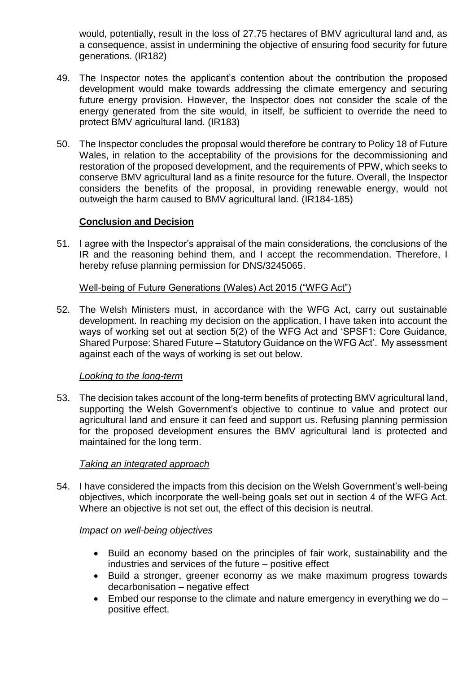would, potentially, result in the loss of 27.75 hectares of BMV agricultural land and, as a consequence, assist in undermining the objective of ensuring food security for future generations. (IR182)

- 49. The Inspector notes the applicant's contention about the contribution the proposed development would make towards addressing the climate emergency and securing future energy provision. However, the Inspector does not consider the scale of the energy generated from the site would, in itself, be sufficient to override the need to protect BMV agricultural land. (IR183)
- 50. The Inspector concludes the proposal would therefore be contrary to Policy 18 of Future Wales, in relation to the acceptability of the provisions for the decommissioning and restoration of the proposed development, and the requirements of PPW, which seeks to conserve BMV agricultural land as a finite resource for the future. Overall, the Inspector considers the benefits of the proposal, in providing renewable energy, would not outweigh the harm caused to BMV agricultural land. (IR184-185)

### **Conclusion and Decision**

51. I agree with the Inspector's appraisal of the main considerations, the conclusions of the IR and the reasoning behind them, and I accept the recommendation. Therefore, I hereby refuse planning permission for DNS/3245065.

### Well-being of Future Generations (Wales) Act 2015 ("WFG Act")

52. The Welsh Ministers must, in accordance with the WFG Act, carry out sustainable development. In reaching my decision on the application, I have taken into account the ways of working set out at section 5(2) of the WFG Act and 'SPSF1: Core Guidance, Shared Purpose: Shared Future – Statutory Guidance on the WFG Act'. My assessment against each of the ways of working is set out below.

# *Looking to the long-term*

53. The decision takes account of the long-term benefits of protecting BMV agricultural land, supporting the Welsh Government's objective to continue to value and protect our agricultural land and ensure it can feed and support us. Refusing planning permission for the proposed development ensures the BMV agricultural land is protected and maintained for the long term.

#### *Taking an integrated approach*

54. I have considered the impacts from this decision on the Welsh Government's well-being objectives, which incorporate the well-being goals set out in section 4 of the WFG Act. Where an objective is not set out, the effect of this decision is neutral.

# *Impact on well-being objectives*

- Build an economy based on the principles of fair work, sustainability and the industries and services of the future – positive effect
- Build a stronger, greener economy as we make maximum progress towards decarbonisation – negative effect
- $\bullet$  Embed our response to the climate and nature emergency in everything we do  $$ positive effect.